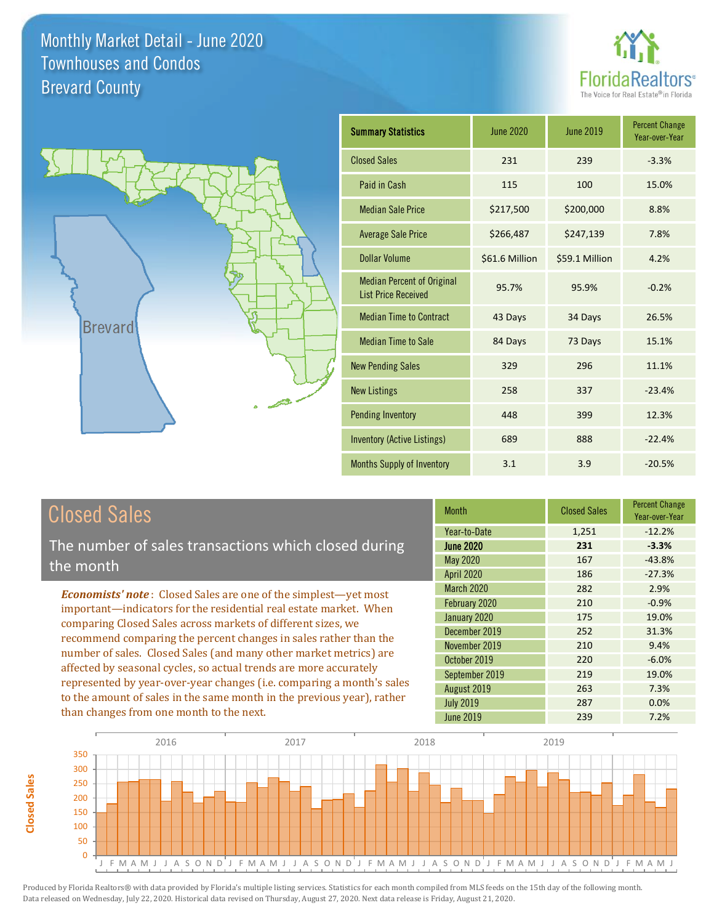



| <b>Summary Statistics</b>                                       | <b>June 2020</b> | <b>June 2019</b> | <b>Percent Change</b><br>Year-over-Year |
|-----------------------------------------------------------------|------------------|------------------|-----------------------------------------|
| <b>Closed Sales</b>                                             | 231              | 239              | $-3.3%$                                 |
| Paid in Cash                                                    | 115              | 100              | 15.0%                                   |
| <b>Median Sale Price</b>                                        | \$217,500        | \$200,000        | 8.8%                                    |
| <b>Average Sale Price</b>                                       | \$266,487        | \$247,139        | 7.8%                                    |
| <b>Dollar Volume</b>                                            | \$61.6 Million   | \$59.1 Million   | 4.2%                                    |
| <b>Median Percent of Original</b><br><b>List Price Received</b> | 95.7%            | 95.9%            | $-0.2%$                                 |
| <b>Median Time to Contract</b>                                  | 43 Days          | 34 Days          | 26.5%                                   |
| <b>Median Time to Sale</b>                                      | 84 Days          | 73 Days          | 15.1%                                   |
| <b>New Pending Sales</b>                                        | 329              | 296              | 11.1%                                   |
| <b>New Listings</b>                                             | 258              | 337              | $-23.4%$                                |
| <b>Pending Inventory</b>                                        | 448              | 399              | 12.3%                                   |
| <b>Inventory (Active Listings)</b>                              | 689              | 888              | $-22.4%$                                |
| <b>Months Supply of Inventory</b>                               | 3.1              | 3.9              | $-20.5%$                                |

## Closed Sales

The number of sales transactions which closed during the month

*Economists' note* : Closed Sales are one of the simplest—yet most important—indicators for the residential real estate market. When comparing Closed Sales across markets of different sizes, we recommend comparing the percent changes in sales rather than the number of sales. Closed Sales (and many other market metrics) are affected by seasonal cycles, so actual trends are more accurately represented by year-over-year changes (i.e. comparing a month's sales to the amount of sales in the same month in the previous year), rather than changes from one month to the next.

| <b>Month</b>      | <b>Closed Sales</b> | <b>Percent Change</b><br>Year-over-Year |
|-------------------|---------------------|-----------------------------------------|
| Year-to-Date      | 1,251               | $-12.2%$                                |
| <b>June 2020</b>  | 231                 | $-3.3%$                                 |
| May 2020          | 167                 | $-43.8%$                                |
| <b>April 2020</b> | 186                 | $-27.3%$                                |
| March 2020        | 282                 | 2.9%                                    |
| February 2020     | 210                 | $-0.9%$                                 |
| January 2020      | 175                 | 19.0%                                   |
| December 2019     | 252                 | 31.3%                                   |
| November 2019     | 210                 | 9.4%                                    |
| October 2019      | 220                 | $-6.0%$                                 |
| September 2019    | 219                 | 19.0%                                   |
| August 2019       | 263                 | 7.3%                                    |
| <b>July 2019</b>  | 287                 | 0.0%                                    |
| <b>June 2019</b>  | 239                 | 7.2%                                    |

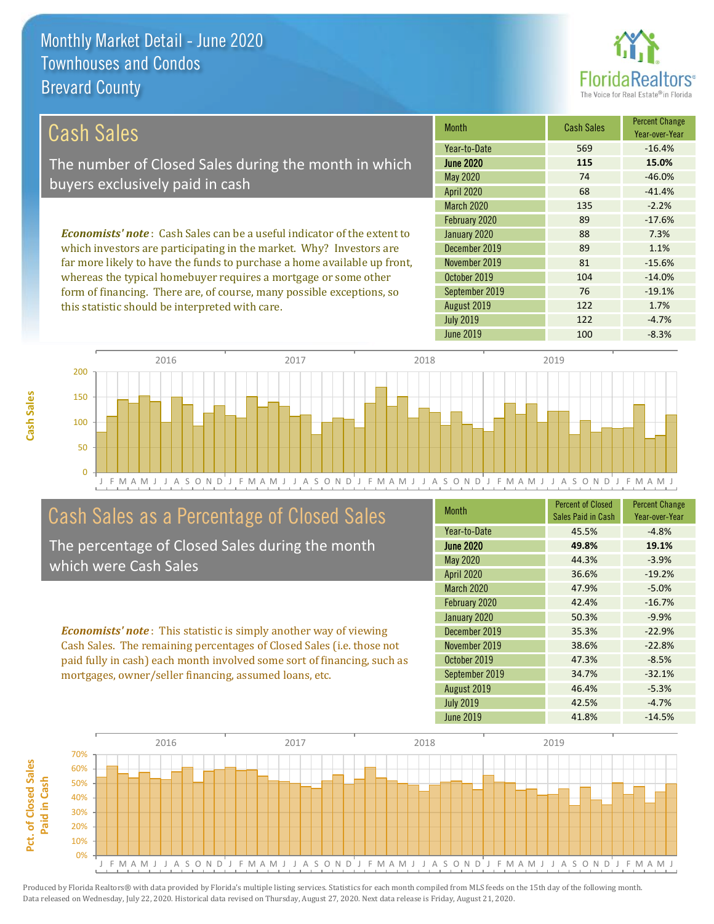this statistic should be interpreted with care.



122 1.7%

| <b>Cash Sales</b>                                                              | <b>Month</b>      | <b>Cash Sales</b> | <b>Percent Change</b><br>Year-over-Year |
|--------------------------------------------------------------------------------|-------------------|-------------------|-----------------------------------------|
|                                                                                | Year-to-Date      | 569               | $-16.4%$                                |
| The number of Closed Sales during the month in which                           | <b>June 2020</b>  | 115               | 15.0%                                   |
| buyers exclusively paid in cash                                                | May 2020          | 74                | $-46.0%$                                |
|                                                                                | <b>April 2020</b> | 68                | $-41.4%$                                |
|                                                                                | <b>March 2020</b> | 135               | $-2.2%$                                 |
|                                                                                | February 2020     | 89                | $-17.6%$                                |
| <b>Economists' note:</b> Cash Sales can be a useful indicator of the extent to | January 2020      | 88                | 7.3%                                    |
| which investors are participating in the market. Why? Investors are            | December 2019     | 89                | 1.1%                                    |
| far more likely to have the funds to purchase a home available up front,       | November 2019     | 81                | $-15.6%$                                |
| whereas the typical homebuyer requires a mortgage or some other                | October 2019      | 104               | $-14.0\%$                               |
| form of financing. There are, of course, many possible exceptions, so          | September 2019    | 76                | $-19.1%$                                |



### Cash Sales as a Percentage of Closed Sales

The percentage of Closed Sales during the month which were Cash Sales

*Economists' note* : This statistic is simply another way of viewing Cash Sales. The remaining percentages of Closed Sales (i.e. those not paid fully in cash) each month involved some sort of financing, such as mortgages, owner/seller financing, assumed loans, etc.

| <b>Month</b>      | <b>Percent of Closed</b><br>Sales Paid in Cash | <b>Percent Change</b><br>Year-over-Year |
|-------------------|------------------------------------------------|-----------------------------------------|
| Year-to-Date      | 45.5%                                          | $-4.8%$                                 |
| <b>June 2020</b>  | 49.8%                                          | 19.1%                                   |
| <b>May 2020</b>   | 44.3%                                          | $-3.9%$                                 |
| <b>April 2020</b> | 36.6%                                          | $-19.2%$                                |
| March 2020        | 47.9%                                          | $-5.0%$                                 |
| February 2020     | 42.4%                                          | $-16.7%$                                |
| January 2020      | 50.3%                                          | $-9.9%$                                 |
| December 2019     | 35.3%                                          | $-22.9%$                                |
| November 2019     | 38.6%                                          | $-22.8%$                                |
| October 2019      | 47.3%                                          | $-8.5%$                                 |
| September 2019    | 34.7%                                          | $-32.1%$                                |
| August 2019       | 46.4%                                          | $-5.3%$                                 |
| <b>July 2019</b>  | 42.5%                                          | $-4.7%$                                 |
| <b>June 2019</b>  | 41.8%                                          | $-14.5%$                                |

June 2019 **100** -8.3%

July 2019 **122** -4.7%

August 2019

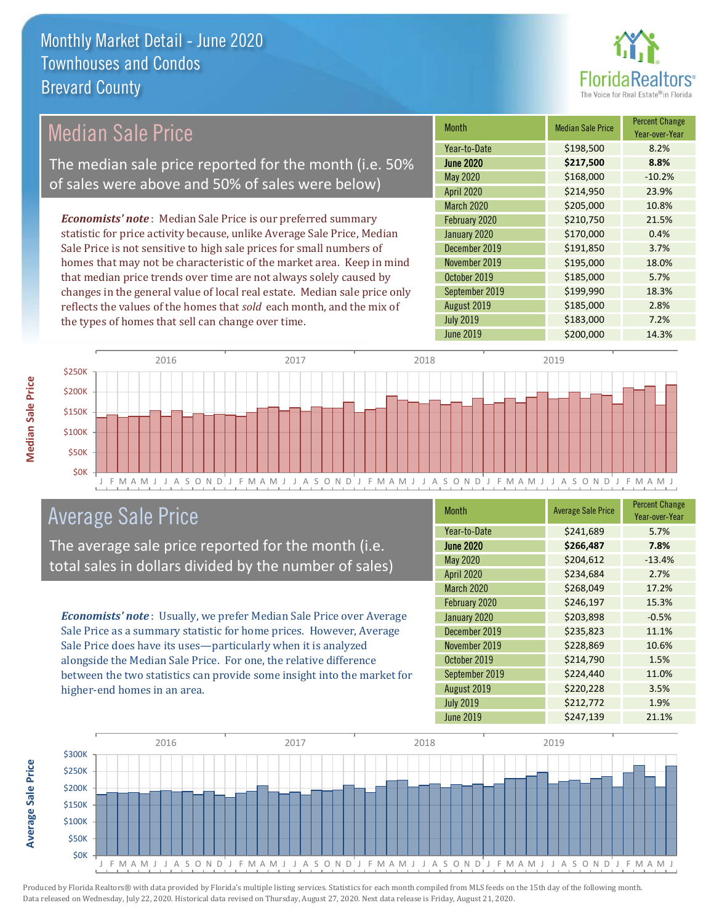

# Median Sale Price

The median sale price reported for the month (i.e. 50% of sales were above and 50% of sales were below)

*Economists' note* : Median Sale Price is our preferred summary statistic for price activity because, unlike Average Sale Price, Median Sale Price is not sensitive to high sale prices for small numbers of homes that may not be characteristic of the market area. Keep in mind that median price trends over time are not always solely caused by changes in the general value of local real estate. Median sale price only reflects the values of the homes that *sold* each month, and the mix of the types of homes that sell can change over time.

| <b>Month</b>     | <b>Median Sale Price</b> | <b>Percent Change</b><br>Year-over-Year |
|------------------|--------------------------|-----------------------------------------|
| Year-to-Date     | \$198,500                | 8.2%                                    |
| <b>June 2020</b> | \$217,500                | 8.8%                                    |
| May 2020         | \$168,000                | $-10.2%$                                |
| April 2020       | \$214,950                | 23.9%                                   |
| March 2020       | \$205,000                | 10.8%                                   |
| February 2020    | \$210,750                | 21.5%                                   |
| January 2020     | \$170,000                | 0.4%                                    |
| December 2019    | \$191,850                | 3.7%                                    |
| November 2019    | \$195,000                | 18.0%                                   |
| October 2019     | \$185,000                | 5.7%                                    |
| September 2019   | \$199,990                | 18.3%                                   |
| August 2019      | \$185,000                | 2.8%                                    |
| <b>July 2019</b> | \$183,000                | 7.2%                                    |
| <b>June 2019</b> | \$200,000                | 14.3%                                   |



### Average Sale Price

The average sale price reported for the month (i.e. total sales in dollars divided by the number of sales)

*Economists' note* : Usually, we prefer Median Sale Price over Average Sale Price as a summary statistic for home prices. However, Average Sale Price does have its uses—particularly when it is analyzed alongside the Median Sale Price. For one, the relative difference between the two statistics can provide some insight into the market for higher-end homes in an area.

| <b>Month</b>      | <b>Average Sale Price</b> | <b>Percent Change</b><br>Year-over-Year |
|-------------------|---------------------------|-----------------------------------------|
| Year-to-Date      | \$241,689                 | 5.7%                                    |
| <b>June 2020</b>  | \$266,487                 | 7.8%                                    |
| May 2020          | \$204,612                 | $-13.4%$                                |
| <b>April 2020</b> | \$234,684                 | 2.7%                                    |
| <b>March 2020</b> | \$268,049                 | 17.2%                                   |
| February 2020     | \$246,197                 | 15.3%                                   |
| January 2020      | \$203,898                 | $-0.5%$                                 |
| December 2019     | \$235,823                 | 11.1%                                   |
| November 2019     | \$228,869                 | 10.6%                                   |
| October 2019      | \$214,790                 | 1.5%                                    |
| September 2019    | \$224,440                 | 11.0%                                   |
| August 2019       | \$220,228                 | 3.5%                                    |
| <b>July 2019</b>  | \$212,772                 | 1.9%                                    |
| <b>June 2019</b>  | \$247,139                 | 21.1%                                   |



Average Sale Price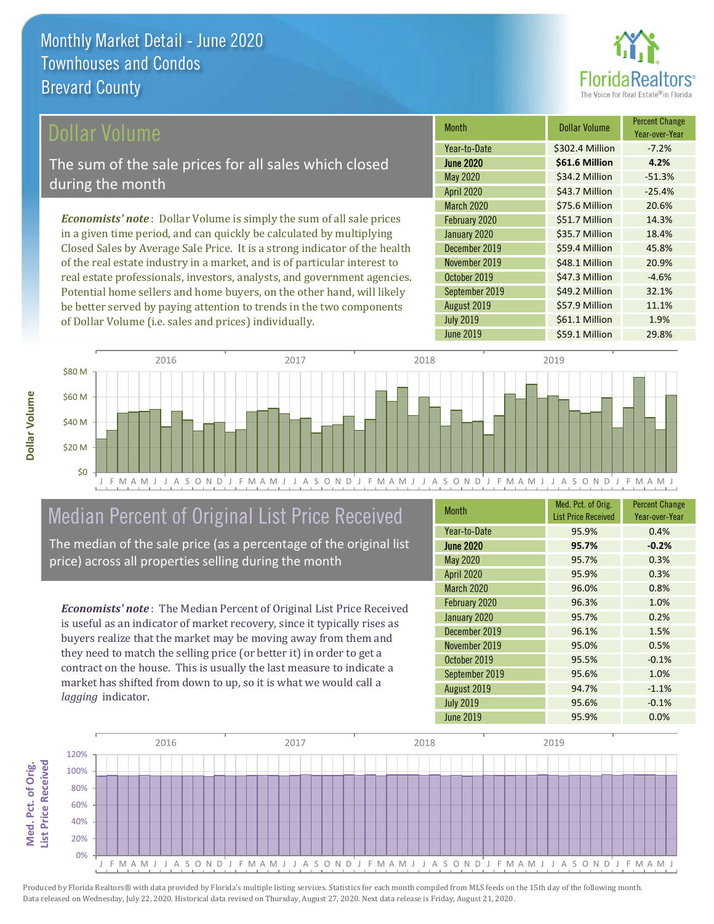

### ollar Volume

The sum of the sale prices for all sales which closed during the month

*Economists' note* : Dollar Volume is simply the sum of all sale prices in a given time period, and can quickly be calculated by multiplying Closed Sales by Average Sale Price. It is a strong indicator of the health of the real estate industry in a market, and is of particular interest to real estate professionals, investors, analysts, and government agencies. Potential home sellers and home buyers, on the other hand, will likely be better served by paying attention to trends in the two components of Dollar Volume (i.e. sales and prices) individually.

| <b>Month</b>      | Dollar Volume   | <b>Percent Change</b><br>Year-over-Year |
|-------------------|-----------------|-----------------------------------------|
| Year-to-Date      | \$302.4 Million | $-7.2%$                                 |
| <b>June 2020</b>  | \$61.6 Million  | 4.2%                                    |
| May 2020          | \$34.2 Million  | $-51.3%$                                |
| <b>April 2020</b> | \$43.7 Million  | $-25.4%$                                |
| <b>March 2020</b> | \$75.6 Million  | 20.6%                                   |
| February 2020     | \$51.7 Million  | 14.3%                                   |
| January 2020      | \$35.7 Million  | 18.4%                                   |
| December 2019     | \$59.4 Million  | 45.8%                                   |
| November 2019     | \$48.1 Million  | 20.9%                                   |
| October 2019      | \$47.3 Million  | $-4.6%$                                 |
| September 2019    | \$49.2 Million  | 32.1%                                   |
| August 2019       | \$57.9 Million  | 11.1%                                   |
| <b>July 2019</b>  | \$61.1 Million  | 1.9%                                    |
| June 2019         | \$59.1 Million  | 29.8%                                   |



# Median Percent of Original List Price Received

The median of the sale price (as a percentage of the original list price) across all properties selling during the month

*Economists' note* : The Median Percent of Original List Price Received is useful as an indicator of market recovery, since it typically rises as buyers realize that the market may be moving away from them and they need to match the selling price (or better it) in order to get a contract on the house. This is usually the last measure to indicate a market has shifted from down to up, so it is what we would call a *lagging* indicator.

| <b>Month</b>      | Med. Pct. of Orig.<br><b>List Price Received</b> | <b>Percent Change</b><br>Year-over-Year |
|-------------------|--------------------------------------------------|-----------------------------------------|
| Year-to-Date      | 95.9%                                            | 0.4%                                    |
| <b>June 2020</b>  | 95.7%                                            | $-0.2%$                                 |
| <b>May 2020</b>   | 95.7%                                            | 0.3%                                    |
| <b>April 2020</b> | 95.9%                                            | 0.3%                                    |
| <b>March 2020</b> | 96.0%                                            | 0.8%                                    |
| February 2020     | 96.3%                                            | 1.0%                                    |
| January 2020      | 95.7%                                            | 0.2%                                    |
| December 2019     | 96.1%                                            | 1.5%                                    |
| November 2019     | 95.0%                                            | 0.5%                                    |
| October 2019      | 95.5%                                            | $-0.1%$                                 |
| September 2019    | 95.6%                                            | 1.0%                                    |
| August 2019       | 94.7%                                            | $-1.1%$                                 |
| <b>July 2019</b>  | 95.6%                                            | $-0.1%$                                 |
| <b>June 2019</b>  | 95.9%                                            | 0.0%                                    |

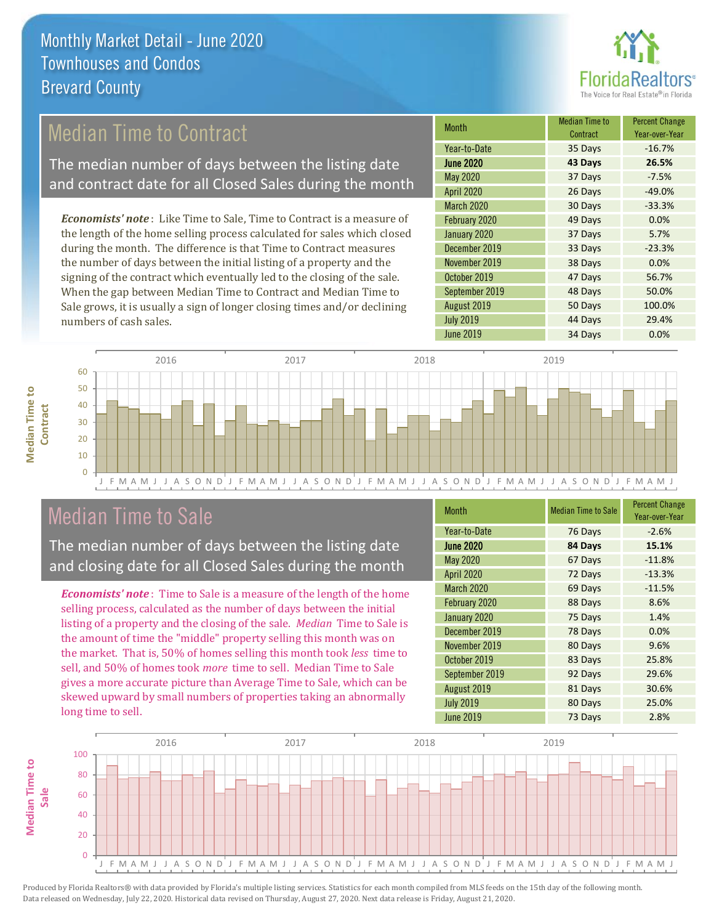

### Median Time to Contract

The median number of days between the listing date and contract date for all Closed Sales during the month

*Economists' note* : Like Time to Sale, Time to Contract is a measure of the length of the home selling process calculated for sales which closed during the month. The difference is that Time to Contract measures the number of days between the initial listing of a property and the signing of the contract which eventually led to the closing of the sale. When the gap between Median Time to Contract and Median Time to Sale grows, it is usually a sign of longer closing times and/or declining numbers of cash sales.

| <b>Month</b>      | <b>Median Time to</b><br>Contract | <b>Percent Change</b><br>Year-over-Year |
|-------------------|-----------------------------------|-----------------------------------------|
| Year-to-Date      | 35 Days                           | $-16.7%$                                |
| <b>June 2020</b>  | 43 Days                           | 26.5%                                   |
| May 2020          | 37 Days                           | $-7.5%$                                 |
| <b>April 2020</b> | 26 Days                           | $-49.0%$                                |
| March 2020        | 30 Days                           | $-33.3%$                                |
| February 2020     | 49 Days                           | 0.0%                                    |
| January 2020      | 37 Days                           | 5.7%                                    |
| December 2019     | 33 Days                           | $-23.3%$                                |
| November 2019     | 38 Days                           | 0.0%                                    |
| October 2019      | 47 Days                           | 56.7%                                   |
| September 2019    | 48 Days                           | 50.0%                                   |
| August 2019       | 50 Days                           | 100.0%                                  |
| <b>July 2019</b>  | 44 Days                           | 29.4%                                   |
| <b>June 2019</b>  | 34 Days                           | 0.0%                                    |



### Median Time to Sale

**Median Time to Contract**

**Median Time to** 

The median number of days between the listing date and closing date for all Closed Sales during the month

*Economists' note* : Time to Sale is a measure of the length of the home selling process, calculated as the number of days between the initial listing of a property and the closing of the sale. *Median* Time to Sale is the amount of time the "middle" property selling this month was on the market. That is, 50% of homes selling this month took *less* time to sell, and 50% of homes took *more* time to sell. Median Time to Sale gives a more accurate picture than Average Time to Sale, which can be skewed upward by small numbers of properties taking an abnormally long time to sell.

| <b>Month</b>      | <b>Median Time to Sale</b> | <b>Percent Change</b><br>Year-over-Year |
|-------------------|----------------------------|-----------------------------------------|
| Year-to-Date      | 76 Days                    | $-2.6%$                                 |
| <b>June 2020</b>  | 84 Days                    | 15.1%                                   |
| <b>May 2020</b>   | 67 Days                    | $-11.8%$                                |
| <b>April 2020</b> | 72 Days                    | $-13.3%$                                |
| <b>March 2020</b> | 69 Days                    | $-11.5%$                                |
| February 2020     | 88 Days                    | 8.6%                                    |
| January 2020      | 75 Days                    | 1.4%                                    |
| December 2019     | 78 Days                    | 0.0%                                    |
| November 2019     | 80 Days                    | 9.6%                                    |
| October 2019      | 83 Days                    | 25.8%                                   |
| September 2019    | 92 Days                    | 29.6%                                   |
| August 2019       | 81 Days                    | 30.6%                                   |
| <b>July 2019</b>  | 80 Days                    | 25.0%                                   |
| <b>June 2019</b>  | 73 Days                    | 2.8%                                    |

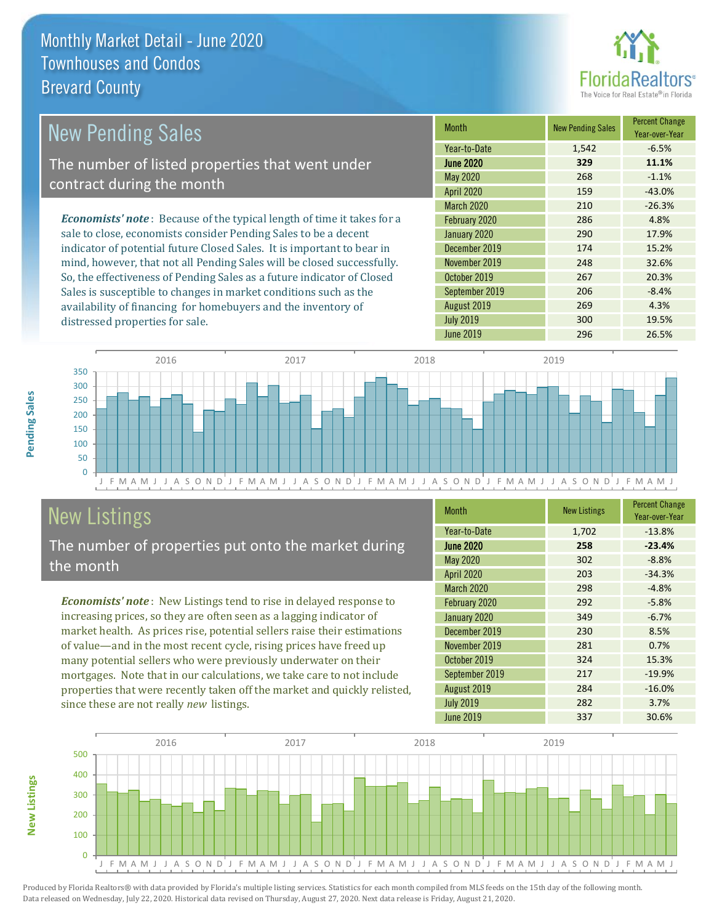

| New Pending Sales                                                              | <b>Month</b>      | New Pending Sales | <b>Percent Change</b><br>Year-over-Year |
|--------------------------------------------------------------------------------|-------------------|-------------------|-----------------------------------------|
|                                                                                | Year-to-Date      | 1,542             | $-6.5%$                                 |
| The number of listed properties that went under                                | <b>June 2020</b>  | 329               | 11.1%                                   |
| contract during the month                                                      | May 2020          | 268               | $-1.1%$                                 |
|                                                                                | <b>April 2020</b> | 159               | $-43.0%$                                |
|                                                                                | <b>March 2020</b> | 210               | $-26.3%$                                |
| <b>Economists' note</b> : Because of the typical length of time it takes for a | February 2020     | 286               | 4.8%                                    |
| sale to close, economists consider Pending Sales to be a decent                | January 2020      | 290               | 17.9%                                   |
| indicator of potential future Closed Sales. It is important to bear in         | December 2019     | 174               | 15.2%                                   |
| mind, however, that not all Pending Sales will be closed successfully.         | November 2019     | 248               | 32.6%                                   |
| So, the effectiveness of Pending Sales as a future indicator of Closed         | October 2019      | 267               | 20.3%                                   |
| Sales is susceptible to changes in market conditions such as the               | September 2019    | 206               | $-8.4%$                                 |

availability of financing for homebuyers and the inventory of distressed properties for sale. August 2019 **269 4.3%** July 2019 **300** 19.5% June 2019 296 26.5% 300 350 2016 2017 2018 2019



# New Listings

The number of properties put onto the market during the month

*Economists' note* : New Listings tend to rise in delayed response to increasing prices, so they are often seen as a lagging indicator of market health. As prices rise, potential sellers raise their estimations of value—and in the most recent cycle, rising prices have freed up many potential sellers who were previously underwater on their mortgages. Note that in our calculations, we take care to not include properties that were recently taken off the market and quickly relisted, since these are not really *new* listings.

| <b>Month</b>      | <b>New Listings</b> | <b>Percent Change</b><br>Year-over-Year |
|-------------------|---------------------|-----------------------------------------|
| Year-to-Date      | 1,702               | $-13.8%$                                |
| <b>June 2020</b>  | 258                 | $-23.4%$                                |
| <b>May 2020</b>   | 302                 | $-8.8%$                                 |
| <b>April 2020</b> | 203                 | $-34.3%$                                |
| March 2020        | 298                 | $-4.8%$                                 |
| February 2020     | 292                 | $-5.8%$                                 |
| January 2020      | 349                 | $-6.7%$                                 |
| December 2019     | 230                 | 8.5%                                    |
| November 2019     | 281                 | 0.7%                                    |
| October 2019      | 324                 | 15.3%                                   |
| September 2019    | 217                 | $-19.9%$                                |
| August 2019       | 284                 | $-16.0%$                                |
| <b>July 2019</b>  | 282                 | 3.7%                                    |
| <b>June 2019</b>  | 337                 | 30.6%                                   |



Produced by Florida Realtors® with data provided by Florida's multiple listing services. Statistics for each month compiled from MLS feeds on the 15th day of the following month. Data released on Wednesday, July 22, 2020. Historical data revised on Thursday, August 27, 2020. Next data release is Friday, August 21, 2020.

**New Listings**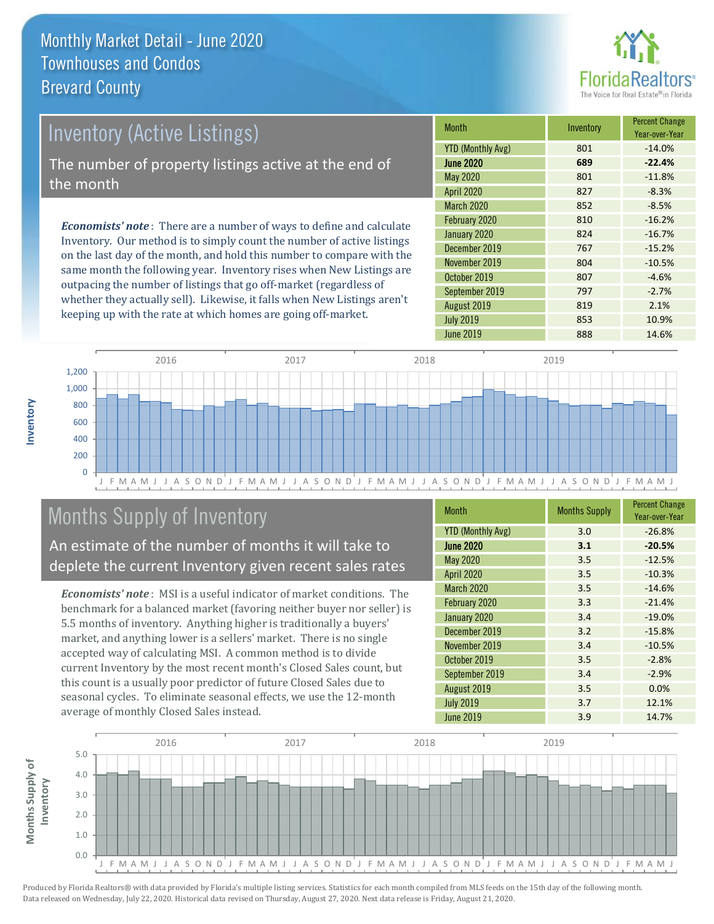

# Inventory (Active Listings) The number of property listings active at the end of the month

*Economists' note* : There are a number of ways to define and calculate Inventory. Our method is to simply count the number of active listings on the last day of the month, and hold this number to compare with the same month the following year. Inventory rises when New Listings are outpacing the number of listings that go off-market (regardless of whether they actually sell). Likewise, it falls when New Listings aren't keeping up with the rate at which homes are going off-market.

| <b>Month</b>             | Inventory | <b>Percent Change</b><br>Year-over-Year |
|--------------------------|-----------|-----------------------------------------|
| <b>YTD (Monthly Avg)</b> | 801       | $-14.0%$                                |
| <b>June 2020</b>         | 689       | $-22.4%$                                |
| <b>May 2020</b>          | 801       | $-11.8%$                                |
| <b>April 2020</b>        | 827       | $-8.3%$                                 |
| <b>March 2020</b>        | 852       | $-8.5%$                                 |
| February 2020            | 810       | $-16.2%$                                |
| January 2020             | 824       | $-16.7%$                                |
| December 2019            | 767       | $-15.2%$                                |
| November 2019            | 804       | $-10.5%$                                |
| October 2019             | 807       | $-4.6%$                                 |
| September 2019           | 797       | $-2.7%$                                 |
| August 2019              | 819       | 2.1%                                    |
| <b>July 2019</b>         | 853       | 10.9%                                   |
| June 2019                | 888       | 14.6%                                   |



## Months Supply of Inventory

An estimate of the number of months it will take to deplete the current Inventory given recent sales rates

*Economists' note* : MSI is a useful indicator of market conditions. The benchmark for a balanced market (favoring neither buyer nor seller) is 5.5 months of inventory. Anything higher is traditionally a buyers' market, and anything lower is a sellers' market. There is no single accepted way of calculating MSI. A common method is to divide current Inventory by the most recent month's Closed Sales count, but this count is a usually poor predictor of future Closed Sales due to seasonal cycles. To eliminate seasonal effects, we use the 12-month average of monthly Closed Sales instead.

| <b>Month</b>             | <b>Months Supply</b> | <b>Percent Change</b><br>Year-over-Year |
|--------------------------|----------------------|-----------------------------------------|
| <b>YTD (Monthly Avg)</b> | 3.0                  | $-26.8%$                                |
| <b>June 2020</b>         | 3.1                  | $-20.5%$                                |
| <b>May 2020</b>          | 3.5                  | $-12.5%$                                |
| April 2020               | 3.5                  | $-10.3%$                                |
| <b>March 2020</b>        | 3.5                  | $-14.6%$                                |
| February 2020            | 3.3                  | $-21.4%$                                |
| January 2020             | 3.4                  | $-19.0%$                                |
| December 2019            | 3.2                  | $-15.8%$                                |
| November 2019            | 3.4                  | $-10.5%$                                |
| October 2019             | 3.5                  | $-2.8%$                                 |
| September 2019           | 3.4                  | $-2.9%$                                 |
| August 2019              | 3.5                  | 0.0%                                    |
| <b>July 2019</b>         | 3.7                  | 12.1%                                   |
| <b>June 2019</b>         | 3.9                  | 14.7%                                   |

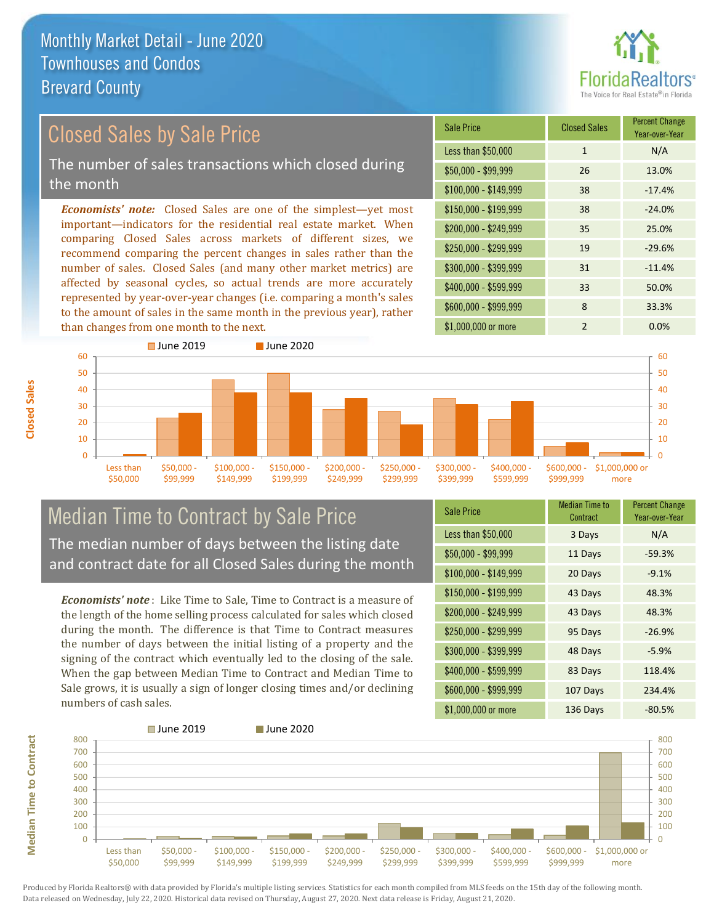

### Closed Sales by Sale Price

The number of sales transactions which closed during the month

*Economists' note:* Closed Sales are one of the simplest—yet most important—indicators for the residential real estate market. When comparing Closed Sales across markets of different sizes, we recommend comparing the percent changes in sales rather than the number of sales. Closed Sales (and many other market metrics) are affected by seasonal cycles, so actual trends are more accurately represented by year-over-year changes (i.e. comparing a month's sales to the amount of sales in the same month in the previous year), rather than changes from one month to the next.

| <b>Sale Price</b>     | <b>Closed Sales</b> | <b>Percent Change</b><br>Year-over-Year |
|-----------------------|---------------------|-----------------------------------------|
| Less than \$50,000    | 1                   | N/A                                     |
| $$50,000 - $99,999$   | 26                  | 13.0%                                   |
| $$100,000 - $149,999$ | 38                  | $-17.4%$                                |
| \$150,000 - \$199,999 | 38                  | $-24.0%$                                |
| \$200,000 - \$249,999 | 35                  | 25.0%                                   |
| \$250,000 - \$299,999 | 19                  | $-29.6%$                                |
| \$300,000 - \$399,999 | 31                  | $-11.4%$                                |
| \$400,000 - \$599,999 | 33                  | 50.0%                                   |
| \$600,000 - \$999,999 | 8                   | 33.3%                                   |
| \$1,000,000 or more   | $\mathfrak{p}$      | 0.0%                                    |



### Median Time to Contract by Sale Price The median number of days between the listing date and contract date for all Closed Sales during the month

*Economists' note* : Like Time to Sale, Time to Contract is a measure of the length of the home selling process calculated for sales which closed during the month. The difference is that Time to Contract measures the number of days between the initial listing of a property and the signing of the contract which eventually led to the closing of the sale. When the gap between Median Time to Contract and Median Time to Sale grows, it is usually a sign of longer closing times and/or declining numbers of cash sales.

| <b>Sale Price</b>     | Median Time to<br>Contract | <b>Percent Change</b><br>Year-over-Year |
|-----------------------|----------------------------|-----------------------------------------|
| Less than \$50,000    | 3 Days                     | N/A                                     |
| $$50,000 - $99,999$   | 11 Days                    | $-59.3%$                                |
| $$100,000 - $149,999$ | 20 Days                    | $-9.1%$                                 |
| $$150,000 - $199,999$ | 43 Days                    | 48.3%                                   |
| \$200,000 - \$249,999 | 43 Days                    | 48.3%                                   |
| \$250,000 - \$299,999 | 95 Days                    | $-26.9%$                                |
| \$300,000 - \$399,999 | 48 Days                    | $-5.9%$                                 |
| $$400,000 - $599,999$ | 83 Days                    | 118.4%                                  |
| \$600,000 - \$999,999 | 107 Days                   | 234.4%                                  |
| \$1,000,000 or more   | 136 Days                   | $-80.5%$                                |



Produced by Florida Realtors® with data provided by Florida's multiple listing services. Statistics for each month compiled from MLS feeds on the 15th day of the following month. Data released on Wednesday, July 22, 2020. Historical data revised on Thursday, August 27, 2020. Next data release is Friday, August 21, 2020.

**Median Time to Contract**

**Median Time to Contract**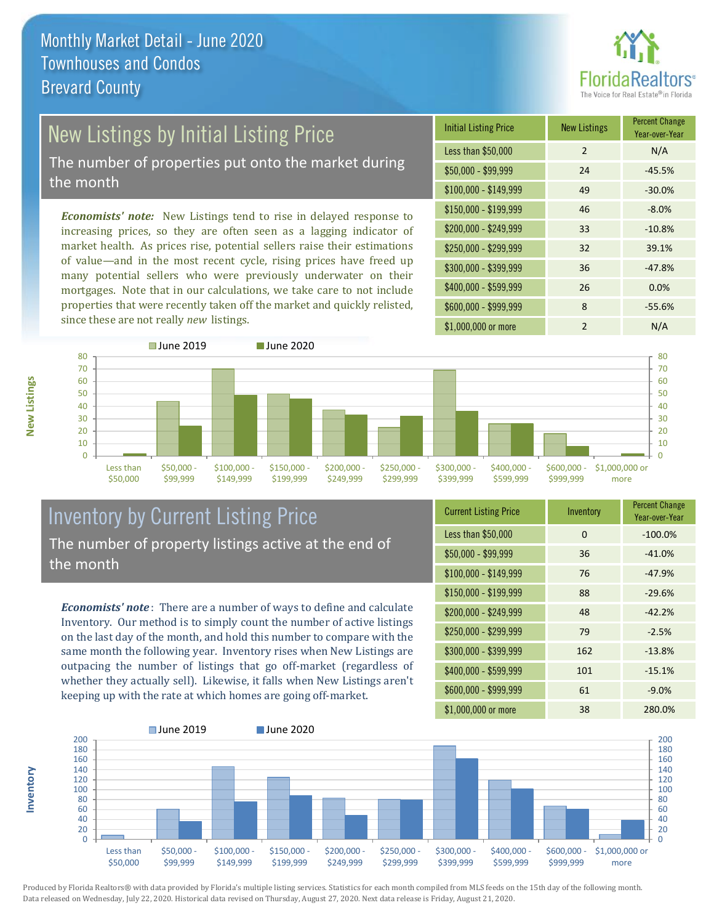

# New Listings by Initial Listing Price

The number of properties put onto the market during the month

*Economists' note:* New Listings tend to rise in delayed response to increasing prices, so they are often seen as a lagging indicator of market health. As prices rise, potential sellers raise their estimations of value—and in the most recent cycle, rising prices have freed up many potential sellers who were previously underwater on their mortgages. Note that in our calculations, we take care to not include properties that were recently taken off the market and quickly relisted, since these are not really *new* listings.

| <b>Initial Listing Price</b> | <b>New Listings</b> | <b>Percent Change</b><br>Year-over-Year |
|------------------------------|---------------------|-----------------------------------------|
| Less than \$50,000           | $\overline{2}$      | N/A                                     |
| $$50,000 - $99,999$          | 24                  | $-45.5%$                                |
| $$100,000 - $149,999$        | 49                  | $-30.0%$                                |
| $$150,000 - $199,999$        | 46                  | $-8.0%$                                 |
| \$200,000 - \$249,999        | 33                  | $-10.8%$                                |
| \$250,000 - \$299,999        | 32                  | 39.1%                                   |
| \$300,000 - \$399,999        | 36                  | $-47.8%$                                |
| \$400,000 - \$599,999        | 26                  | 0.0%                                    |
| \$600,000 - \$999,999        | 8                   | $-55.6%$                                |
| \$1,000,000 or more          | $\mathfrak{p}$      | N/A                                     |



### Inventory by Current Listing Price The number of property listings active at the end of the month

*Economists' note* : There are a number of ways to define and calculate Inventory. Our method is to simply count the number of active listings on the last day of the month, and hold this number to compare with the same month the following year. Inventory rises when New Listings are outpacing the number of listings that go off-market (regardless of whether they actually sell). Likewise, it falls when New Listings aren't keeping up with the rate at which homes are going off-market.

| <b>Current Listing Price</b> | Inventory | <b>Percent Change</b><br>Year-over-Year |
|------------------------------|-----------|-----------------------------------------|
| Less than \$50,000           | $\Omega$  | $-100.0%$                               |
| $$50,000 - $99,999$          | 36        | $-41.0%$                                |
| $$100,000 - $149,999$        | 76        | $-47.9%$                                |
| $$150,000 - $199,999$        | 88        | $-29.6%$                                |
| \$200,000 - \$249,999        | 48        | $-42.2%$                                |
| \$250,000 - \$299,999        | 79        | $-2.5%$                                 |
| \$300,000 - \$399,999        | 162       | $-13.8%$                                |
| \$400,000 - \$599,999        | 101       | $-15.1%$                                |
| \$600,000 - \$999,999        | 61        | $-9.0%$                                 |
| \$1,000,000 or more          | 38        | 280.0%                                  |



Produced by Florida Realtors® with data provided by Florida's multiple listing services. Statistics for each month compiled from MLS feeds on the 15th day of the following month. Data released on Wednesday, July 22, 2020. Historical data revised on Thursday, August 27, 2020. Next data release is Friday, August 21, 2020.

**Inventory**